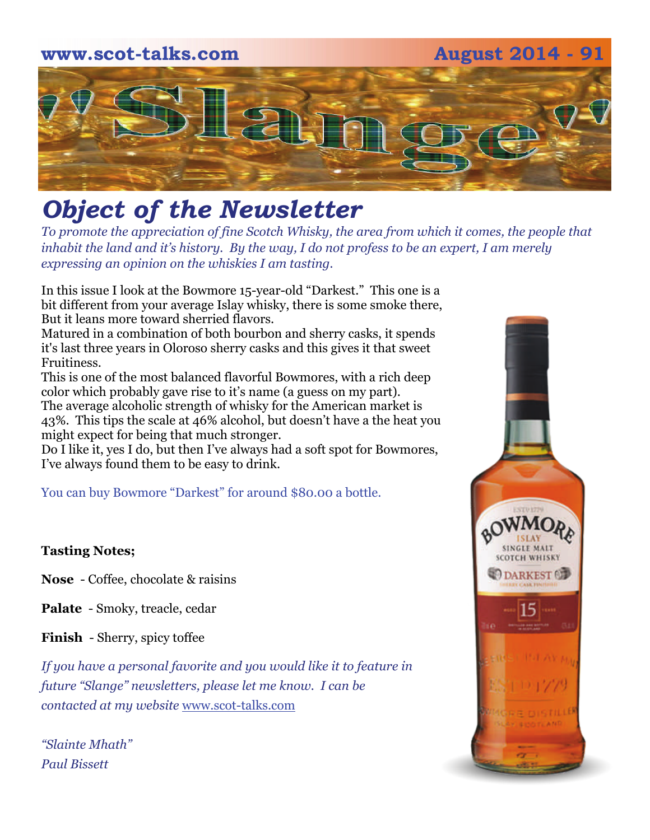# **www.scot-talks.com August 2014 - 91**  $\mathbb{Z}$

## *Object of the Newsletter*

*To promote the appreciation of fine Scotch Whisky, the area from which it comes, the people that inhabit the land and it's history. By the way, I do not profess to be an expert, I am merely expressing an opinion on the whiskies I am tasting.* 

In this issue I look at the Bowmore 15-year-old "Darkest." This one is a bit different from your average Islay whisky, there is some smoke there, But it leans more toward sherried flavors.

Matured in a combination of both bourbon and sherry casks, it spends it's last three years in Oloroso sherry casks and this gives it that sweet Fruitiness.

This is one of the most balanced flavorful Bowmores, with a rich deep color which probably gave rise to it's name (a guess on my part). The average alcoholic strength of whisky for the American market is 43%. This tips the scale at 46% alcohol, but doesn't have a the heat you might expect for being that much stronger.

Do I like it, yes I do, but then I've always had a soft spot for Bowmores, I've always found them to be easy to drink.

You can buy Bowmore "Darkest" for around \$80.00 a bottle.

#### **Tasting Notes;**

**Nose** - Coffee, chocolate & raisins

**Palate** - Smoky, treacle, cedar

**Finish** - Sherry, spicy toffee

*If you have a personal favorite and you would like it to feature in future "Slange" newsletters, please let me know. I can be contacted at my website* [www.scot-talks.com](http://www.scot-talks.com/default.html)

*"Slainte Mhath" Paul Bissett*

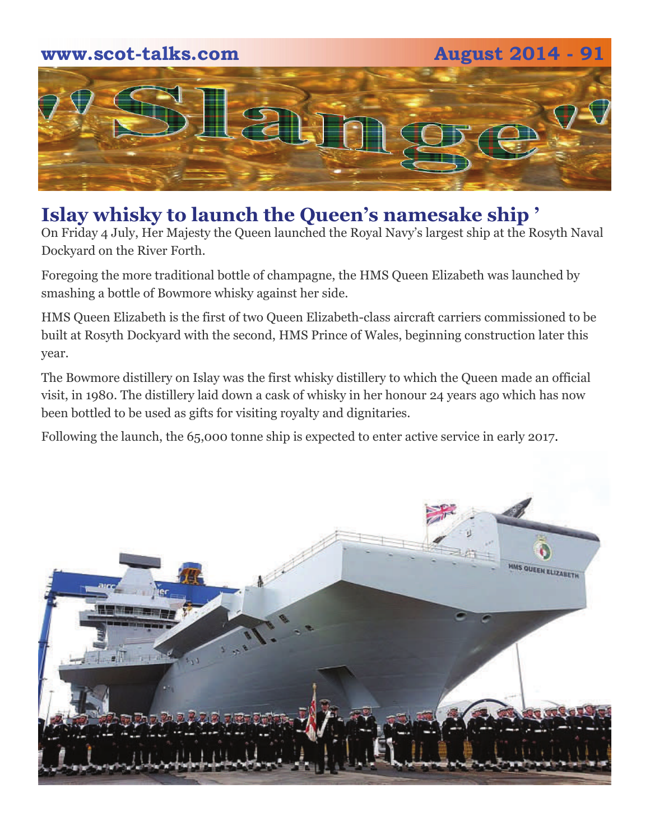# **www.scot-talks.com August 2014 - 91** Z L

### **Islay whisky to launch the Queen's namesake ship '**

On Friday 4 July, Her Majesty the Queen launched the Royal Navy's largest ship at the Rosyth Naval Dockyard on the River Forth.

Foregoing the more traditional bottle of champagne, the HMS Queen Elizabeth was launched by smashing a bottle of Bowmore whisky against her side.

HMS Queen Elizabeth is the first of two Queen Elizabeth-class aircraft carriers commissioned to be built at Rosyth Dockyard with the second, HMS Prince of Wales, beginning construction later this year.

The Bowmore distillery on Islay was the first whisky distillery to which the Queen made an official visit, in 1980. The distillery laid down a cask of whisky in her honour 24 years ago which has now been bottled to be used as gifts for visiting royalty and dignitaries.

Following the launch, the 65,000 tonne ship is expected to enter active service in early 2017.

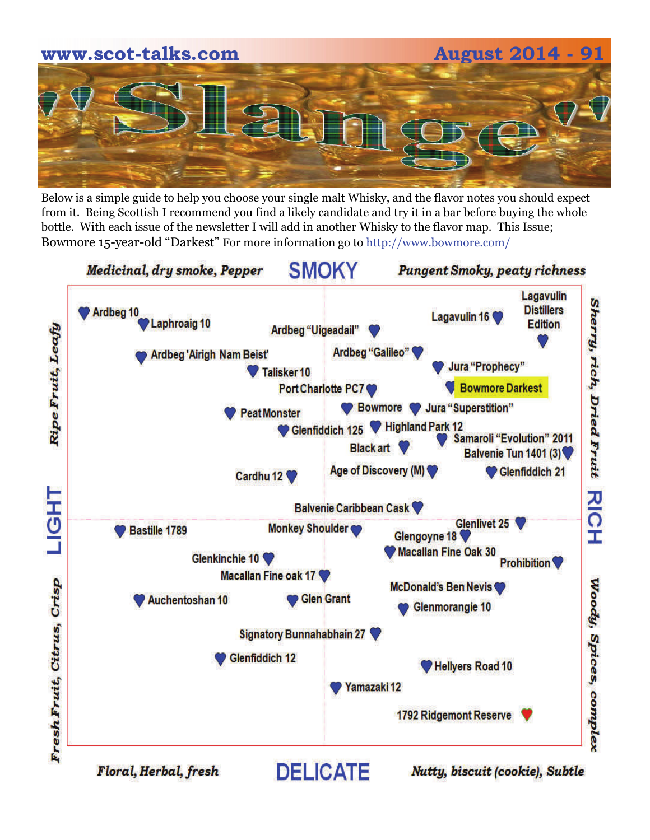

Below is a simple guide to help you choose your single malt Whisky, and the flavor notes you should expect from it. Being Scottish I recommend you find a likely candidate and try it in a bar before buying the whole bottle. With each issue of the newsletter I will add in another Whisky to the flavor map. This Issue; Bowmore 15-year-old "Darkest" For more information go to http://www.bowmore.com/

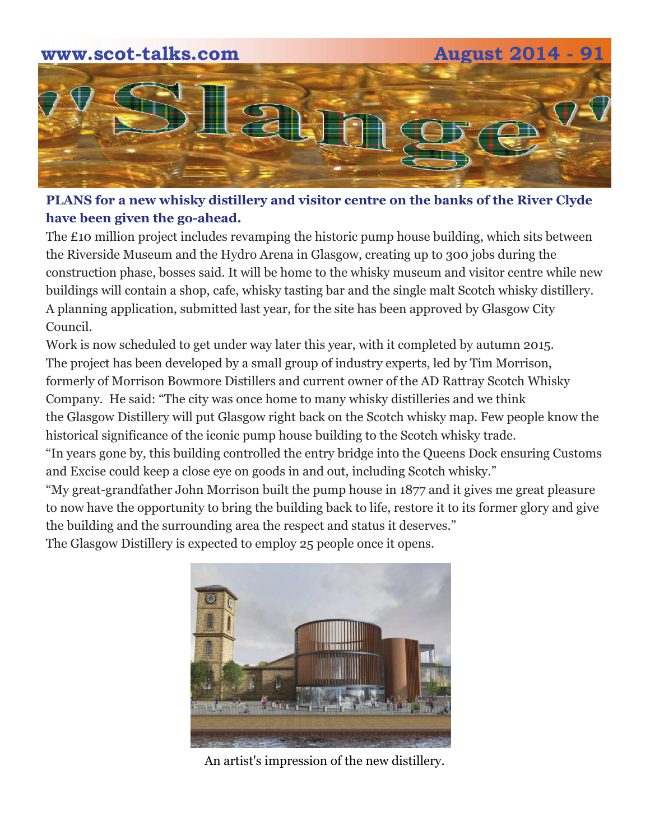

#### **PLANS for a new whisky distillery and visitor centre on the banks of the River Clyde have been given the go-ahead.**

The £10 million project includes revamping the historic pump house building, which sits between the Riverside Museum and the Hydro Arena in Glasgow, creating up to 300 jobs during the construction phase, bosses said. It will be home to the whisky museum and visitor centre while new buildings will contain a shop, cafe, whisky tasting bar and the single malt Scotch whisky distillery. A planning application, submitted last year, for the site has been approved by Glasgow City Council.

Work is now scheduled to get under way later this year, with it completed by autumn 2015. The project has been developed by a small group of industry experts, led by Tim Morrison, formerly of Morrison Bowmore Distillers and current owner of the AD Rattray Scotch Whisky Company. He said: "The city was once home to many whisky distilleries and we think the Glasgow Distillery will put Glasgow right back on the Scotch whisky map. Few people know the historical significance of the iconic pump house building to the Scotch whisky trade.

"In years gone by, this building controlled the entry bridge into the Queens Dock ensuring Customs and Excise could keep a close eye on goods in and out, including Scotch whisky."

"My great-grandfather John Morrison built the pump house in 1877 and it gives me great pleasure to now have the opportunity to bring the building back to life, restore it to its former glory and give the building and the surrounding area the respect and status it deserves."

The Glasgow Distillery is expected to employ 25 people once it opens.



An artist's impression of the new distillery.